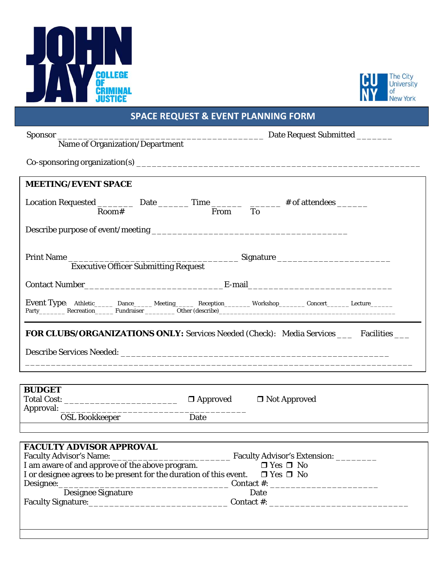



# **SPACE REQUEST & EVENT PLANNING FORM**

| <b>MEETING/EVENT SPACE</b>                                                                                                   |  |  |
|------------------------------------------------------------------------------------------------------------------------------|--|--|
| Location Requested $\frac{1}{\text{Room}\#}$ Date $\frac{1}{\text{Time}\#}$ of attendees $\frac{1}{\text{From}}$             |  |  |
|                                                                                                                              |  |  |
| Print Name Executive Officer Submitting Request Signature _______________________                                            |  |  |
|                                                                                                                              |  |  |
|                                                                                                                              |  |  |
| <b>FOR CLUBS/ORGANIZATIONS ONLY:</b> Services Needed (Check): Media Services ____ Facilities ___                             |  |  |
|                                                                                                                              |  |  |
| OSL Bookkeeper Date Date                                                                                                     |  |  |
| <b>BUDGET</b><br>Total Cost: __________________________________ □ Approved □ Not Approved<br><b>FACULTY ADVISOR APPROVAL</b> |  |  |